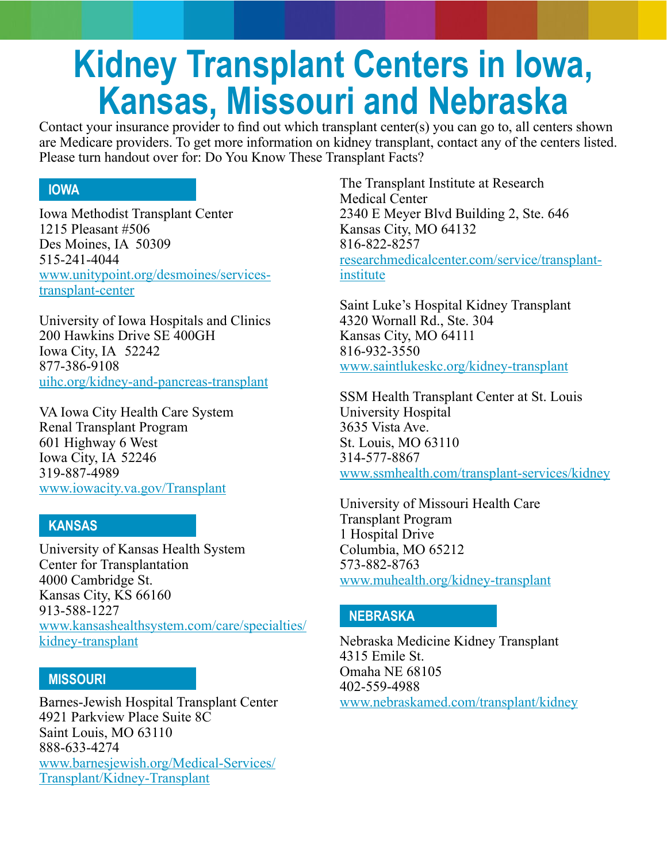# **Kidney Transplant Centers in Iowa, Kansas, Missouri and Nebraska**

Contact your insurance provider to find out which transplant center(s) you can go to, all centers shown are Medicare providers. To get more information on kidney transplant, contact any of the centers listed. Please turn handout over for: Do You Know These Transplant Facts?

# **IOWA**

Iowa Methodist Transplant Center 1215 Pleasant #506 Des Moines, IA 50309 515-241-4044 [www.unitypoint.org/desmoines/services](http://www.unitypoint.org/desmoines/services-transplant-center)[transplant-center](http://www.unitypoint.org/desmoines/services-transplant-center)

University of Iowa Hospitals and Clinics 200 Hawkins Drive SE 400GH Iowa City, IA 52242 877-386-9108 [uihc.org/kidney-and-pancreas-transplant](http://uihc.org/kidney-and-pancreas-transplant)

VA Iowa City Health Care System Renal Transplant Program 601 Highway 6 West Iowa City, IA 52246 319-887-4989 [www.iowacity.va.gov/Transplant](http://www.iowacity.va.gov/Transplant)

# **KANSAS**

i<br>I

 University of Kansas Health System Center for Transplantation 4000 Cambridge St. Kansas City, KS 66160 913-588-1227 [www.kansashealthsystem.com/care/specialties/](http://www.kansashealthsystem.com/care/specialties/kidney-transplant ) [kidney-transplant](http://www.kansashealthsystem.com/care/specialties/kidney-transplant )

#### **MISSOURI**

Barnes-Jewish Hospital Transplant Center 4921 Parkview Place Suite 8C Saint Louis, MO 63110 888-633-4274 [www.barnesjewish.org/Medical-Services/](http://www.barnesjewish.org/Medical-Services/Transplant/Kidney-Transplant ) [Transplant/Kidney-Transplant](http://www.barnesjewish.org/Medical-Services/Transplant/Kidney-Transplant )

The Transplant Institute at Research Medical Center 2340 E Meyer Blvd Building 2, Ste. 646 Kansas City, MO 64132 816-822-8257 [researchmedicalcenter.com/service/transplant](http://researchmedicalcenter.com/service/transplant-institute)[institute](http://researchmedicalcenter.com/service/transplant-institute)

Saint Luke's Hospital Kidney Transplant 4320 Wornall Rd., Ste. 304 Kansas City, MO 64111 816-932-3550 [www.saintlukeskc.org/kidney-transplant](http://www.saintlukeskc.org/kidney-transplant)

SSM Health Transplant Center at St. Louis University Hospital 3635 Vista Ave. St. Louis, MO 63110 314-577-8867 [www.ssmhealth.com/transplant-services/kidney](http://www.ssmhealth.com/transplant-services/kidney)

University of Missouri Health Care Transplant Program 1 Hospital Drive Columbia, MO 65212 573-882-8763 [www.muhealth.org/kidney-transplant](http://www.muhealth.org/kidney-transplant)

# **NEBRASKA**

Nebraska Medicine Kidney Transplant 4315 Emile St. Omaha NE 68105 402-559-4988 [www.nebraskamed.com/transplant/kidney](http://www.nebraskamed.com/transplant/kidney)